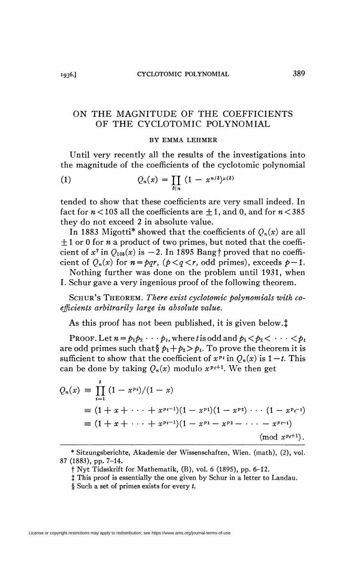## ON THE MAGNITUDE OF THE COEFFICIENTS OF THE CYCLOTOMIC POLYNOMIAL

## BY EMMA LEHMER

Until very recently all the results of the investigations into the magnitude of the coefficients of the cyclotomic polynomial

(1) 
$$
Q_n(x) = \prod_{\delta \mid n} (1 - x^{n/\delta})^{\mu(\delta)}
$$

tended to show that these coefficients are very small indeed. In fact for  $n < 105$  all the coefficients are  $\pm 1$ , and 0, and for  $n < 385$ they do not exceed 2 in absolute value.

In 1883 Migotti<sup>\*</sup> showed that the coefficients of  $Q_n(x)$  are all  $\pm 1$  or 0 for *n* a product of two primes, but noted that the coefficient of  $x^7$  in  $Q_{105}(x)$  is  $-2$ . In 1895 Bang† proved that no coefficient of  $Q_n(x)$  for  $n = pqr$ ,  $(p < q < r$ , odd primes), exceeds  $p-1$ .

Nothing further was done on the problem until 1931, when I. Schur gave a very ingenious proof of the following theorem.

SCHUR'S THEOREM. *There exist cyclotomic polynomials with coefficients arbitrarily large in absolute value.* 

As this proof has not been published, it is given below.<sup>†</sup>

Proof. Let  $n = p_1 p_2 \cdots p_t$ , where *t* is odd and  $p_1 < p_2 < \cdots < p_t$ are odd primes such that  $\oint p_1 + p_2 > p_t$ . To prove the theorem it is sufficient to show that the coefficient of  $x^{p}$  in  $Q_n(x)$  is  $1-t$ . This can be done by taking  $Q_n(x)$  modulo  $x^{p+1}$ . We then get

$$
Q_n(x) = \prod_{i=1}^t (1-x^{p_i})/(1-x)
$$
  
=  $(1+x+\cdots+x^{p_i-1})(1-x^{p_1})(1-x^{p_2})\cdots(1-x^{p_i-1})$   
=  $(1+x+\cdots+x^{p_i-1})(1-x^{p_1}-x^{p_2}-\cdots-x^{p_i-1})$   
(mod  $x^{p_i+1}$ ).

*<sup>\*</sup>* Sitzungsberichte, Akademie der Wissenschaften, Wien. (math), (2), vol. 87 (1883), pp. 7-14.

t Nyt Tidsskrift for Mathematik, (B), vol. 6 (1895), pp. 6-12.

*t* This proof is essentially the one given by Schur in a letter to Landau.

<sup>§</sup> Such a set of primes exists for every *t.*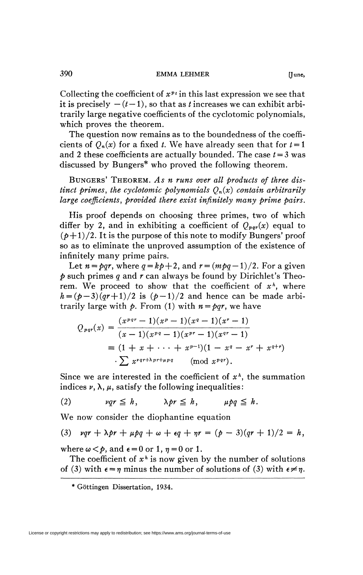Collecting the coefficient of  $x^{p}$  in this last expression we see that it is precisely  $-(t-1)$ , so that as *t* increases we can exhibit arbitrarily large negative coefficients of the cyclotomic polynomials, which proves the theorem.

The question now remains as to the boundedness of the coefficients of  $Q_n(x)$  for a fixed *t*. We have already seen that for  $t = 1$ and 2 these coefficients are actually bounded. The case  $t = 3$  was discussed by Bungers\* who proved the following theorem.

BUNGERS ' THEOREM. *As n runs over all products of three distinct primes, the cyclotomic polynomials*  $O_n(x)$  *contain arbitrarily large coefficients, provided there exist infinitely many prime pairs.* 

His proof depends on choosing three primes, two of which differ by 2, and in exhibiting a coefficient of  $Q_{\textit{per}}(x)$  equal to  $(p+1)/2$ . It is the purpose of this note to modify Bungers' proof so as to eliminate the unproved assumption of the existence of infinitely many prime pairs.

Let  $n = pqr$ , where  $q = kp + 2$ , and  $r = (mpq - 1)/2$ . For a given *p* such primes *q* and *r* can always be found by Dirichlet's Theorem. We proceed to show that the coefficient of  $x^h$ , where  $h = (p-3)(qr+1)/2$  is  $(p-1)/2$  and hence can be made arbitrarily large with  $\phi$ . From (1) with  $n = \rho q r$ , we have

$$
Q_{\text{pqr}}(x) = \frac{(x^{\text{pqr}} - 1)(x^{\text{p}} - 1)(x^{\text{q}} - 1)(x^{\text{r}} - 1)}{(x - 1)(x^{\text{p}q} - 1)(x^{\text{p}r} - 1)(x^{\text{q}r} - 1)}
$$
  
\n
$$
\equiv (1 + x + \dots + x^{\text{p-1}})(1 - x^{\text{q}} - x^{\text{r}} + x^{\text{q+r}})
$$
  
\n
$$
\sum x^{\text{pqr}} + \lambda \text{prr+ppq} \qquad \text{(mod } x^{\text{pqr}}.
$$

Since we are interested in the coefficient of  $x<sup>h</sup>$ , the summation indices  $\nu$ ,  $\lambda$ ,  $\mu$ , satisfy the following inequalities:

$$
(2) \quad vqr \leq h, \quad \lambda pr \leq h, \quad \mu pq \leq h.
$$

We now consider the diophantine equation

(3) 
$$
uqr + \lambda pr + \mu pq + \omega + \epsilon q + \eta r = (p-3)(qr+1)/2 = h
$$
,

where  $\omega < p$ , and  $\epsilon = 0$  or 1,  $\eta = 0$  or 1.

The coefficient of  $x^h$  is now given by the number of solutions of (3) with  $\epsilon = \eta$  minus the number of solutions of (3) with  $\epsilon \neq \eta$ .

**<sup>\*</sup> Göttingen Dissertation, 1934.**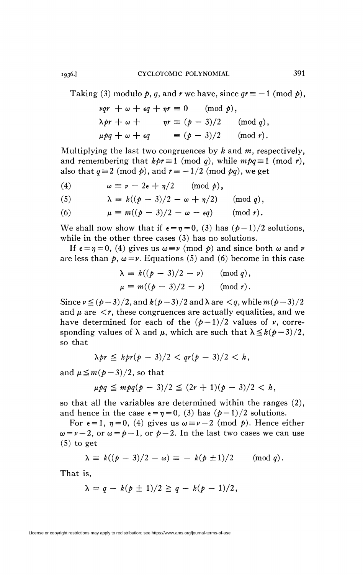Taking (3) modulo  $p$ ,  $q$ , and  $r$  we have, since  $qr \equiv -1 \pmod{p}$ ,

$$
\begin{aligned}\n\nu qr + \omega + \epsilon q + \eta r &\equiv 0 \pmod{p}, \\
\lambda pr + \omega + \eta r &\equiv (p - 3)/2 \pmod{q}, \\
\mu pq + \omega + \epsilon q &\equiv (p - 3)/2 \pmod{r}.\n\end{aligned}
$$

Multiplying the last two congruences by  $k$  and  $m$ , respectively, and remembering that  $kpr \equiv 1 \pmod{q}$ , while  $mpq \equiv 1 \pmod{r}$ , also that  $q \equiv 2 \pmod{p}$ , and  $r \equiv -1/2 \pmod{pq}$ , we get

(4)  $\omega \equiv \nu - 2\epsilon + \eta/2 \pmod{p},$ 

(5) 
$$
\lambda \equiv k((p-3)/2 - \omega + \eta/2) \pmod{q},
$$

(6)  $\mu \equiv m((p-3)/2-\omega-\epsilon q) \pmod{r}$ .

We shall now show that if  $\epsilon = \eta = 0$ , (3) has  $(\rho - 1)/2$  solutions, while in the other three cases (3) has no solutions.

If  $\epsilon = \eta = 0$ , (4) gives us  $\omega = \nu \pmod{p}$  and since both  $\omega$  and  $\nu$ are less than  $p$ ,  $\omega = \nu$ . Equations (5) and (6) become in this case

$$
\lambda \equiv k((p-3)/2 - v) \pmod{q},
$$
  

$$
\mu \equiv m((p-3)/2 - v) \pmod{r}.
$$

Since  $\nu \leq (p-3)/2$ , and  $k(p-3)/2$  and  $\lambda$  are  $\lt q$ , while  $m(p-3)/2$ and  $\mu$  are  $\leq r$ , these congruences are actually equalities, and we have determined for each of the  $(p-1)/2$  values of  $\nu$ , corresponding values of  $\lambda$  and  $\mu$ , which are such that  $\lambda \leq k(\rho-3)/2$ , so that

$$
\lambda pr \leq kpr(p-3)/2 < qr(p-3)/2 < h,
$$

and  $\mu \leq m(p-3)/2$ , so that

$$
\mu pq \leq m pq(p-3)/2 \leq (2r+1)(p-3)/2 < h,
$$

so that all the variables are determined within the ranges (2), and hence in the case  $\epsilon = \eta = 0$ , (3) has  $(\rho - 1)/2$  solutions.

For  $\epsilon = 1$ ,  $\eta = 0$ , (4) gives us  $\omega = \nu - 2 \pmod{p}$ . Hence either  $\omega = \nu - 2$ , or  $\omega = p - 1$ , or  $p - 2$ . In the last two cases we can use (5) to get

$$
\lambda \equiv k((p-3)/2 - \omega) \equiv -k(p \pm 1)/2 \quad (\text{mod } q).
$$

That is,

$$
\lambda = q - k(p \pm 1)/2 \geq q - k(p-1)/2,
$$